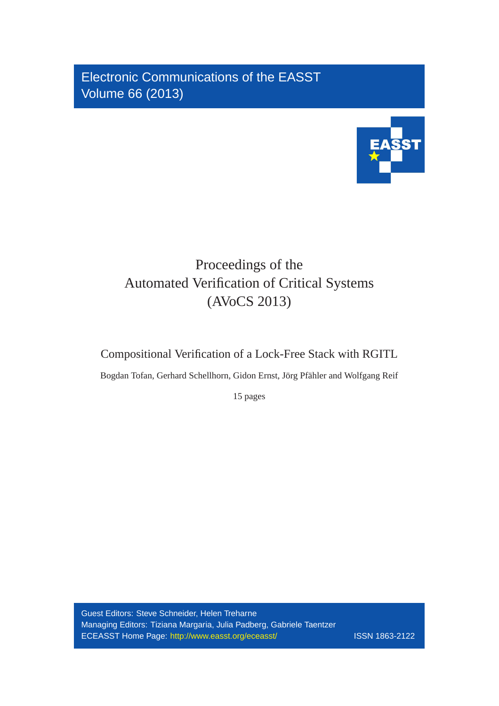Electronic Communications of the EASST Volume 66 (2013)



# Proceedings of the Automated Verification of Critical Systems (AVoCS 2013)

# Compositional Verification of a Lock-Free Stack with RGITL

Bogdan Tofan, Gerhard Schellhorn, Gidon Ernst, Jörg Pfähler and Wolfgang Reif

15 pages

Guest Editors: Steve Schneider, Helen Treharne Managing Editors: Tiziana Margaria, Julia Padberg, Gabriele Taentzer ECEASST Home Page: <http://www.easst.org/eceasst/> ISSN 1863-2122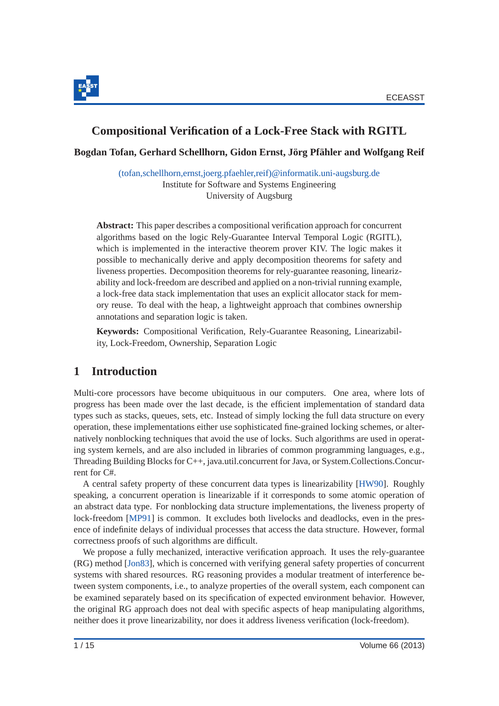

# **Compositional Verification of a Lock-Free Stack with RGITL**

**Bogdan Tofan, Gerhard Schellhorn, Gidon Ernst, Jorg Pf ¨ ahler and Wolfgang Reif ¨**

[\(tofan,schellhorn,ernst,joerg.pfaehler,reif\)@informatik.uni-augsburg.de](mailto:(tofan,schellhorn,ernst,joerg.pfaehler,reif)@informatik.uni-augsburg.de) Institute for Software and Systems Engineering University of Augsburg

**Abstract:** This paper describes a compositional verification approach for concurrent algorithms based on the logic Rely-Guarantee Interval Temporal Logic (RGITL), which is implemented in the interactive theorem prover KIV. The logic makes it possible to mechanically derive and apply decomposition theorems for safety and liveness properties. Decomposition theorems for rely-guarantee reasoning, linearizability and lock-freedom are described and applied on a non-trivial running example, a lock-free data stack implementation that uses an explicit allocator stack for memory reuse. To deal with the heap, a lightweight approach that combines ownership annotations and separation logic is taken.

**Keywords:** Compositional Verification, Rely-Guarantee Reasoning, Linearizability, Lock-Freedom, Ownership, Separation Logic

# **1 Introduction**

Multi-core processors have become ubiquituous in our computers. One area, where lots of progress has been made over the last decade, is the efficient implementation of standard data types such as stacks, queues, sets, etc. Instead of simply locking the full data structure on every operation, these implementations either use sophisticated fine-grained locking schemes, or alternatively nonblocking techniques that avoid the use of locks. Such algorithms are used in operating system kernels, and are also included in libraries of common programming languages, e.g., Threading Building Blocks for C++, java.util.concurrent for Java, or System.Collections.Concurrent for C#.

A central safety property of these concurrent data types is linearizability [\[HW90\]](#page-14-0). Roughly speaking, a concurrent operation is linearizable if it corresponds to some atomic operation of an abstract data type. For nonblocking data structure implementations, the liveness property of lock-freedom [\[MP91\]](#page-15-0) is common. It excludes both livelocks and deadlocks, even in the presence of indefinite delays of individual processes that access the data structure. However, formal correctness proofs of such algorithms are difficult.

We propose a fully mechanized, interactive verification approach. It uses the rely-guarantee (RG) method [\[Jon83\]](#page-14-1), which is concerned with verifying general safety properties of concurrent systems with shared resources. RG reasoning provides a modular treatment of interference between system components, i.e., to analyze properties of the overall system, each component can be examined separately based on its specification of expected environment behavior. However, the original RG approach does not deal with specific aspects of heap manipulating algorithms, neither does it prove linearizability, nor does it address liveness verification (lock-freedom).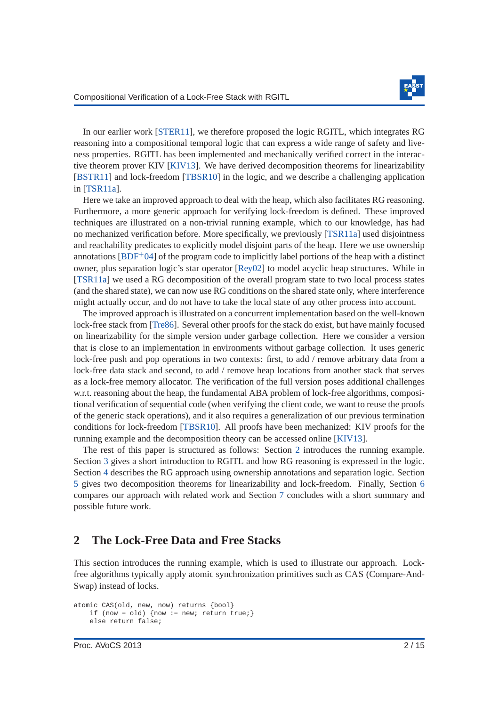

In our earlier work [\[STER11\]](#page-15-1), we therefore proposed the logic RGITL, which integrates RG reasoning into a compositional temporal logic that can express a wide range of safety and liveness properties. RGITL has been implemented and mechanically verified correct in the interactive theorem prover KIV [\[KIV13\]](#page-15-2). We have derived decomposition theorems for linearizability [\[BSTR11\]](#page-14-2) and lock-freedom [\[TBSR10\]](#page-15-3) in the logic, and we describe a challenging application in [\[TSR11a\]](#page-15-4).

Here we take an improved approach to deal with the heap, which also facilitates RG reasoning. Furthermore, a more generic approach for verifying lock-freedom is defined. These improved techniques are illustrated on a non-trivial running example, which to our knowledge, has had no mechanized verification before. More specifically, we previously [\[TSR11a\]](#page-15-4) used disjointness and reachability predicates to explicitly model disjoint parts of the heap. Here we use ownership annotations  $[BDF^+04]$  of the program code to implicitly label portions of the heap with a distinct owner, plus separation logic's star operator [\[Rey02\]](#page-15-5) to model acyclic heap structures. While in [\[TSR11a\]](#page-15-4) we used a RG decomposition of the overall program state to two local process states (and the shared state), we can now use RG conditions on the shared state only, where interference might actually occur, and do not have to take the local state of any other process into account.

The improved approach is illustrated on a concurrent implementation based on the well-known lock-free stack from [\[Tre86\]](#page-15-6). Several other proofs for the stack do exist, but have mainly focused on linearizability for the simple version under garbage collection. Here we consider a version that is close to an implementation in environments without garbage collection. It uses generic lock-free push and pop operations in two contexts: first, to add / remove arbitrary data from a lock-free data stack and second, to add / remove heap locations from another stack that serves as a lock-free memory allocator. The verification of the full version poses additional challenges w.r.t. reasoning about the heap, the fundamental ABA problem of lock-free algorithms, compositional verification of sequential code (when verifying the client code, we want to reuse the proofs of the generic stack operations), and it also requires a generalization of our previous termination conditions for lock-freedom [\[TBSR10\]](#page-15-3). All proofs have been mechanized: KIV proofs for the running example and the decomposition theory can be accessed online [\[KIV13\]](#page-15-2).

The rest of this paper is structured as follows: Section [2](#page-2-0) introduces the running example. Section [3](#page-4-0) gives a short introduction to RGITL and how RG reasoning is expressed in the logic. Section [4](#page-7-0) describes the RG approach using ownership annotations and separation logic. Section [5](#page-11-0) gives two decomposition theorems for linearizability and lock-freedom. Finally, Section [6](#page-13-0) compares our approach with related work and Section [7](#page-14-4) concludes with a short summary and possible future work.

### <span id="page-2-0"></span>**2 The Lock-Free Data and Free Stacks**

This section introduces the running example, which is used to illustrate our approach. Lockfree algorithms typically apply atomic synchronization primitives such as CAS (Compare-And-Swap) instead of locks.

```
atomic CAS(old, new, now) returns {bool}
    if (now = old) {now := new; return true; }
    else return false;
```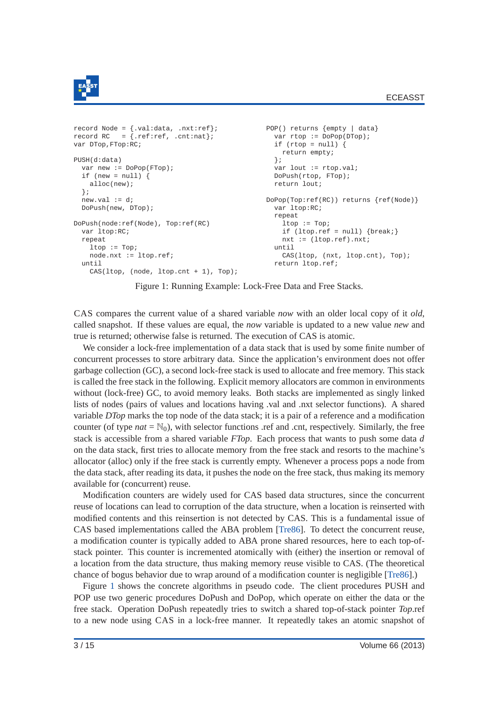

```
record Node = {.val:data, .nxt:ref}; POP() returns {empty | data}
record RC = \{ .\text{ref} : \text{ref}, .\text{cnt} : \text{nat}\}; var rtop := DoPop(DTop);
var DTop, FTop: RC; if (rtop = null) {
                                     return empty;<br>};
PUSH(d:data) };
 var new := DOPOP(FTop); var lout := rtop.val;
 if (new = null) { DoPush(rtop, FTop);
  alloc(new); example alloc(new); return lout;
 };<br>new.val := d;
                                   DopPop(Top:ref(RC)) returns \{ref(Node)\}DoPush(new, DTop); var ltop:RC;
                                     repeat<br>
ltop := TopDoPush(node:ref(Node), Top:ref(RC)
 var ltop:RC; if (ltop.ref = null) {break; }
 repeat nxt := (ltop.ref).nxt;
  ltop := Top; until
  node.nxt := ltop.ref; \text{CAS}(\text{ltop, (nxt, ltop.cnt), Top});until return ltop.ref;
  CAS(ltop, (node, ltop.cnt + 1), Top);
```
Figure 1: Running Example: Lock-Free Data and Free Stacks.

CAS compares the current value of a shared variable *now* with an older local copy of it *old*, called snapshot. If these values are equal, the *now* variable is updated to a new value *new* and true is returned; otherwise false is returned. The execution of CAS is atomic.

We consider a lock-free implementation of a data stack that is used by some finite number of concurrent processes to store arbitrary data. Since the application's environment does not offer garbage collection (GC), a second lock-free stack is used to allocate and free memory. This stack is called the free stack in the following. Explicit memory allocators are common in environments without (lock-free) GC, to avoid memory leaks. Both stacks are implemented as singly linked lists of nodes (pairs of values and locations having .val and .nxt selector functions). A shared variable *DTop* marks the top node of the data stack; it is a pair of a reference and a modification counter (of type  $nat = N_0$ ), with selector functions .ref and .cnt, respectively. Similarly, the free stack is accessible from a shared variable *FTop*. Each process that wants to push some data *d* on the data stack, first tries to allocate memory from the free stack and resorts to the machine's allocator (alloc) only if the free stack is currently empty. Whenever a process pops a node from the data stack, after reading its data, it pushes the node on the free stack, thus making its memory available for (concurrent) reuse.

Modification counters are widely used for CAS based data structures, since the concurrent reuse of locations can lead to corruption of the data structure, when a location is reinserted with modified contents and this reinsertion is not detected by CAS. This is a fundamental issue of CAS based implementations called the ABA problem [\[Tre86\]](#page-15-6). To detect the concurrent reuse, a modification counter is typically added to ABA prone shared resources, here to each top-ofstack pointer. This counter is incremented atomically with (either) the insertion or removal of a location from the data structure, thus making memory reuse visible to CAS. (The theoretical chance of bogus behavior due to wrap around of a modification counter is negligible [\[Tre86\]](#page-15-6).)

Figure [1](#page-3-0) shows the concrete algorithms in pseudo code. The client procedures PUSH and POP use two generic procedures DoPush and DoPop, which operate on either the data or the free stack. Operation DoPush repeatedly tries to switch a shared top-of-stack pointer *Top*.ref to a new node using CAS in a lock-free manner. It repeatedly takes an atomic snapshot of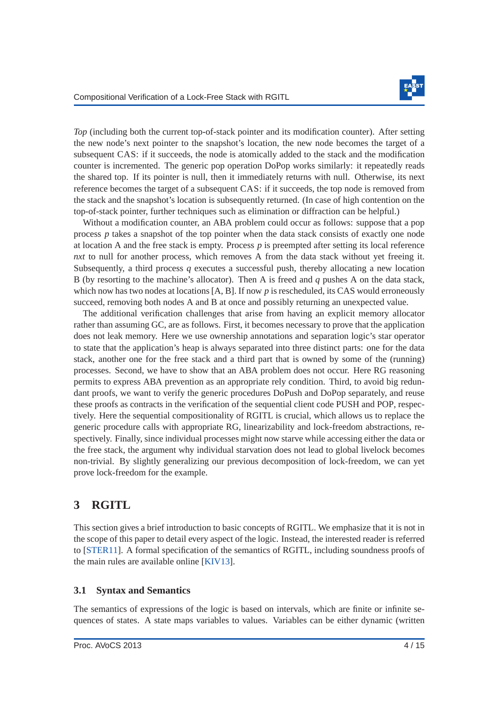

*Top* (including both the current top-of-stack pointer and its modification counter). After setting the new node's next pointer to the snapshot's location, the new node becomes the target of a subsequent CAS: if it succeeds, the node is atomically added to the stack and the modification counter is incremented. The generic pop operation DoPop works similarly: it repeatedly reads the shared top. If its pointer is null, then it immediately returns with null. Otherwise, its next reference becomes the target of a subsequent CAS: if it succeeds, the top node is removed from the stack and the snapshot's location is subsequently returned. (In case of high contention on the top-of-stack pointer, further techniques such as elimination or diffraction can be helpful.)

Without a modification counter, an ABA problem could occur as follows: suppose that a pop process *p* takes a snapshot of the top pointer when the data stack consists of exactly one node at location A and the free stack is empty. Process *p* is preempted after setting its local reference *nxt* to null for another process, which removes A from the data stack without yet freeing it. Subsequently, a third process *q* executes a successful push, thereby allocating a new location B (by resorting to the machine's allocator). Then A is freed and *q* pushes A on the data stack, which now has two nodes at locations [A, B]. If now p is rescheduled, its CAS would erroneously succeed, removing both nodes A and B at once and possibly returning an unexpected value.

The additional verification challenges that arise from having an explicit memory allocator rather than assuming GC, are as follows. First, it becomes necessary to prove that the application does not leak memory. Here we use ownership annotations and separation logic's star operator to state that the application's heap is always separated into three distinct parts: one for the data stack, another one for the free stack and a third part that is owned by some of the (running) processes. Second, we have to show that an ABA problem does not occur. Here RG reasoning permits to express ABA prevention as an appropriate rely condition. Third, to avoid big redundant proofs, we want to verify the generic procedures DoPush and DoPop separately, and reuse these proofs as contracts in the verification of the sequential client code PUSH and POP, respectively. Here the sequential compositionality of RGITL is crucial, which allows us to replace the generic procedure calls with appropriate RG, linearizability and lock-freedom abstractions, respectively. Finally, since individual processes might now starve while accessing either the data or the free stack, the argument why individual starvation does not lead to global livelock becomes non-trivial. By slightly generalizing our previous decomposition of lock-freedom, we can yet prove lock-freedom for the example.

# <span id="page-4-0"></span>**3 RGITL**

This section gives a brief introduction to basic concepts of RGITL. We emphasize that it is not in the scope of this paper to detail every aspect of the logic. Instead, the interested reader is referred to [\[STER11\]](#page-15-1). A formal specification of the semantics of RGITL, including soundness proofs of the main rules are available online [\[KIV13\]](#page-15-2).

### **3.1 Syntax and Semantics**

The semantics of expressions of the logic is based on intervals, which are finite or infinite sequences of states. A state maps variables to values. Variables can be either dynamic (written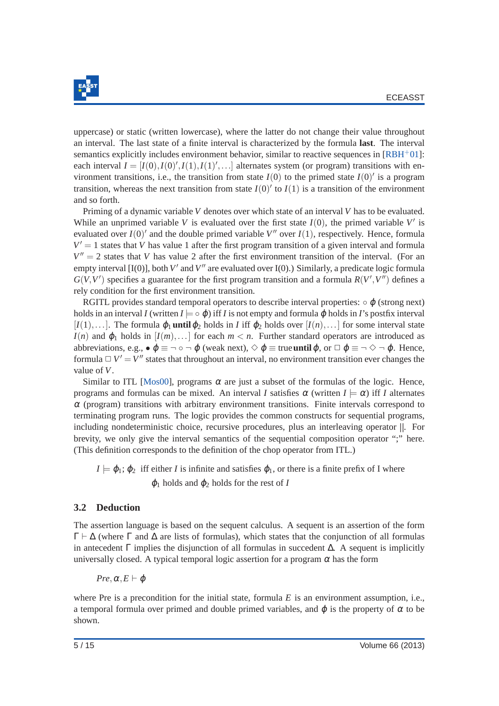

uppercase) or static (written lowercase), where the latter do not change their value throughout an interval. The last state of a finite interval is characterized by the formula **last**. The interval semantics explicitly includes environment behavior, similar to reactive sequences in  $[RBH<sup>+</sup>01]$  $[RBH<sup>+</sup>01]$ : each interval  $I = [I(0), I(0), I(1), I(1), \ldots]$  alternates system (or program) transitions with environment transitions, i.e., the transition from state  $I(0)$  to the primed state  $I(0)'$  is a program transition, whereas the next transition from state  $I(0)'$  to  $I(1)$  is a transition of the environment and so forth.

Priming of a dynamic variable *V* denotes over which state of an interval *V* has to be evaluated. While an unprimed variable *V* is evaluated over the first state  $I(0)$ , the primed variable  $V'$  is evaluated over  $I(0)'$  and the double primed variable  $V''$  over  $I(1)$ , respectively. Hence, formula  $V' = 1$  states that *V* has value 1 after the first program transition of a given interval and formula  $V'' = 2$  states that *V* has value 2 after the first environment transition of the interval. (For an empty interval [I(0)], both V' and V" are evaluated over I(0).) Similarly, a predicate logic formula  $G(V, V')$  specifies a guarantee for the first program transition and a formula  $R(V', V'')$  defines a rely condition for the first environment transition.

RGITL provides standard temporal operators to describe interval properties:  $\circ \varphi$  (strong next) holds in an interval *I* (written  $I \models \circ \varphi$ ) iff *I* is not empty and formula  $\varphi$  holds in *I*'s postfix interval [ $I(1),...$ ]. The formula  $\varphi_1$  **until**  $\varphi_2$  holds in *I* iff  $\varphi_2$  holds over  $[I(n),...]$  for some interval state  $I(n)$  and  $\varphi_1$  holds in  $I(m),...$  for each  $m < n$ . Further standard operators are introduced as abbreviations, e.g.,  $\bullet \varnothing \equiv \neg \circ \neg \varnothing$  (weak next),  $\Diamond \varnothing \equiv \text{true}$  until  $\varnothing$ , or  $\Box \varnothing \equiv \neg \Diamond \neg \varnothing$ . Hence, formula  $\Box V' = V''$  states that throughout an interval, no environment transition ever changes the value of *V*.

Similar to ITL [\[Mos00\]](#page-15-8), programs  $\alpha$  are just a subset of the formulas of the logic. Hence, programs and formulas can be mixed. An interval *I* satisfies  $\alpha$  (written  $I \models \alpha$ ) iff *I* alternates  $\alpha$  (program) transitions with arbitrary environment transitions. Finite intervals correspond to terminating program runs. The logic provides the common constructs for sequential programs, including nondeterministic choice, recursive procedures, plus an interleaving operator ||. For brevity, we only give the interval semantics of the sequential composition operator ";" here. (This definition corresponds to the definition of the chop operator from ITL.)

 $I \models \varphi_1; \varphi_2$  iff either *I* is infinite and satisfies  $\varphi_1$ , or there is a finite prefix of I where  $\varphi_1$  holds and  $\varphi_2$  holds for the rest of *I* 

### **3.2 Deduction**

The assertion language is based on the sequent calculus. A sequent is an assertion of the form Γ ⊢ ∆ (where Γ and ∆ are lists of formulas), which states that the conjunction of all formulas in antecedent Γ implies the disjunction of all formulas in succedent  $\Delta$ . A sequent is implicitly universally closed. A typical temporal logic assertion for a program  $\alpha$  has the form

*Pre*,  $\alpha$ *, E* ⊢  $\varphi$ 

where Pre is a precondition for the initial state, formula *E* is an environment assumption, i.e., a temporal formula over primed and double primed variables, and  $\varphi$  is the property of  $\alpha$  to be shown.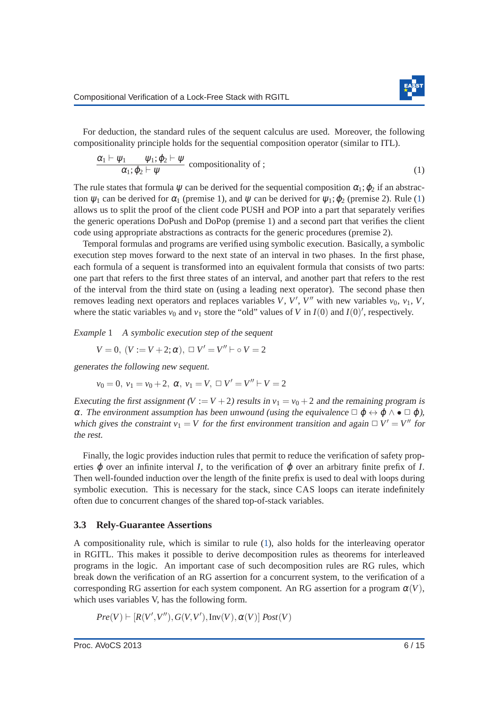For deduction, the standard rules of the sequent calculus are used. Moreover, the following compositionality principle holds for the sequential composition operator (similar to ITL).

<span id="page-6-0"></span>
$$
\frac{\alpha_1 \vdash \psi_1 \qquad \psi_1; \varphi_2 \vdash \psi}{\alpha_1; \varphi_2 \vdash \psi} \text{ compositionality of ;} \qquad (1)
$$

The rule states that formula  $\psi$  can be derived for the sequential composition  $\alpha_1$ ;  $\varphi_2$  if an abstraction  $\psi_1$  can be derived for  $\alpha_1$  (premise 1), and  $\psi$  can be derived for  $\psi_1$ ;  $\varphi_2$  (premise 2). Rule [\(1\)](#page-6-0) allows us to split the proof of the client code PUSH and POP into a part that separately verifies the generic operations DoPush and DoPop (premise 1) and a second part that verifies the client code using appropriate abstractions as contracts for the generic procedures (premise 2).

Temporal formulas and programs are verified using symbolic execution. Basically, a symbolic execution step moves forward to the next state of an interval in two phases. In the first phase, each formula of a sequent is transformed into an equivalent formula that consists of two parts: one part that refers to the first three states of an interval, and another part that refers to the rest of the interval from the third state on (using a leading next operator). The second phase then removes leading next operators and replaces variables *V*, *V'*, *V''* with new variables  $v_0$ ,  $v_1$ , *V*, where the static variables  $v_0$  and  $v_1$  store the "old" values of *V* in  $I(0)$  and  $I(0)'$ , respectively.

*Example* 1 A symbolic execution step of the sequent

$$
V = 0, (V := V + 2; \alpha), \Box V' = V'' \vdash \circ V = 2
$$

generates the following new sequent.

$$
v_0 = 0
$$
,  $v_1 = v_0 + 2$ ,  $\alpha$ ,  $v_1 = V$ ,  $\Box V' = V'' + V = 2$ 

Executing the first assignment  $(V := V + 2)$  results in  $v_1 = v_0 + 2$  and the remaining program is α. The environment assumption has been unwound (using the equivalence  $\Box \varphi \leftrightarrow \varphi \land \bullet \Box \varphi$ ), which gives the constraint  $v_1 = V$  for the first environment transition and again  $\Box V' = V''$  for the rest.

Finally, the logic provides induction rules that permit to reduce the verification of safety properties  $\varphi$  over an infinite interval *I*, to the verification of  $\varphi$  over an arbitrary finite prefix of *I*. Then well-founded induction over the length of the finite prefix is used to deal with loops during symbolic execution. This is necessary for the stack, since CAS loops can iterate indefinitely often due to concurrent changes of the shared top-of-stack variables.

### **3.3 Rely-Guarantee Assertions**

A compositionality rule, which is similar to rule [\(1\)](#page-6-0), also holds for the interleaving operator in RGITL. This makes it possible to derive decomposition rules as theorems for interleaved programs in the logic. An important case of such decomposition rules are RG rules, which break down the verification of an RG assertion for a concurrent system, to the verification of a corresponding RG assertion for each system component. An RG assertion for a program  $\alpha(V)$ , which uses variables V, has the following form.

 $Pre(V) \vdash [R(V', V''), G(V, V'), Inv(V), \alpha(V)]$   $Post(V)$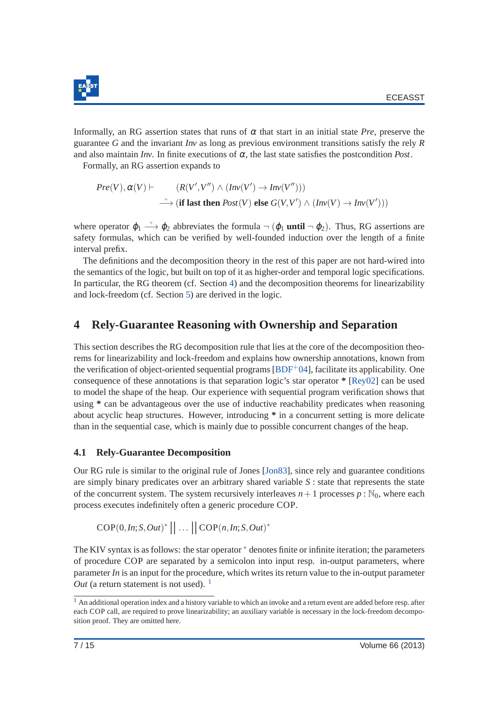

Informally, an RG assertion states that runs of  $\alpha$  that start in an initial state *Pre*, preserve the guarantee *G* and the invariant *Inv* as long as previous environment transitions satisfy the rely *R* and also maintain *Inv*. In finite executions of  $\alpha$ , the last state satisfies the postcondition *Post*.

Formally, an RG assertion expands to

$$
Pre(V), \alpha(V) \vdash (R(V', V'') \land (Inv(V') \rightarrow Inv(V'')))
$$
  

$$
\longrightarrow (\text{if last then } Post(V) \text{ else } G(V, V') \land (Inv(V) \rightarrow Inv(V')))
$$

where operator  $\varphi_1 \stackrel{+}{\longrightarrow} \varphi_2$  abbreviates the formula  $\neg$  ( $\varphi_1$  **until**  $\neg$   $\varphi_2$ ). Thus, RG assertions are safety formulas, which can be verified by well-founded induction over the length of a finite interval prefix.

The definitions and the decomposition theory in the rest of this paper are not hard-wired into the semantics of the logic, but built on top of it as higher-order and temporal logic specifications. In particular, the RG theorem (cf. Section [4\)](#page-7-0) and the decomposition theorems for linearizability and lock-freedom (cf. Section [5\)](#page-11-0) are derived in the logic.

# <span id="page-7-0"></span>**4 Rely-Guarantee Reasoning with Ownership and Separation**

This section describes the RG decomposition rule that lies at the core of the decomposition theorems for linearizability and lock-freedom and explains how ownership annotations, known from the verification of object-oriented sequential programs [\[BDF](#page-14-3)+04], facilitate its applicability. One consequence of these annotations is that separation logic's star operator **\*** [\[Rey02\]](#page-15-5) can be used to model the shape of the heap. Our experience with sequential program verification shows that using **\*** can be advantageous over the use of inductive reachability predicates when reasoning about acyclic heap structures. However, introducing **\*** in a concurrent setting is more delicate than in the sequential case, which is mainly due to possible concurrent changes of the heap.

### **4.1 Rely-Guarantee Decomposition**

Our RG rule is similar to the original rule of Jones [\[Jon83\]](#page-14-1), since rely and guarantee conditions are simply binary predicates over an arbitrary shared variable *S* : state that represents the state of the concurrent system. The system recursively interleaves  $n+1$  processes  $p : \mathbb{N}_0$ , where each process executes indefinitely often a generic procedure COP.

 $COP(0, In; S, Out)^* \mid \mid \dots \mid \mid COP(n, In; S, Out)^*$ 

The KIV syntax is as follows: the star operator  $*$  denotes finite or infinite iteration; the parameters of procedure COP are separated by a semicolon into input resp. in-output parameters, where parameter *In* is an input for the procedure, which writes its return value to the in-output parameter *Out* (a return statement is not used).  $\frac{1}{1}$  $\frac{1}{1}$  $\frac{1}{1}$ 

<span id="page-7-1"></span><sup>&</sup>lt;sup>1</sup> An additional operation index and a history variable to which an invoke and a return event are added before resp. after each COP call, are required to prove linearizability; an auxiliary variable is necessary in the lock-freedom decomposition proof. They are omitted here.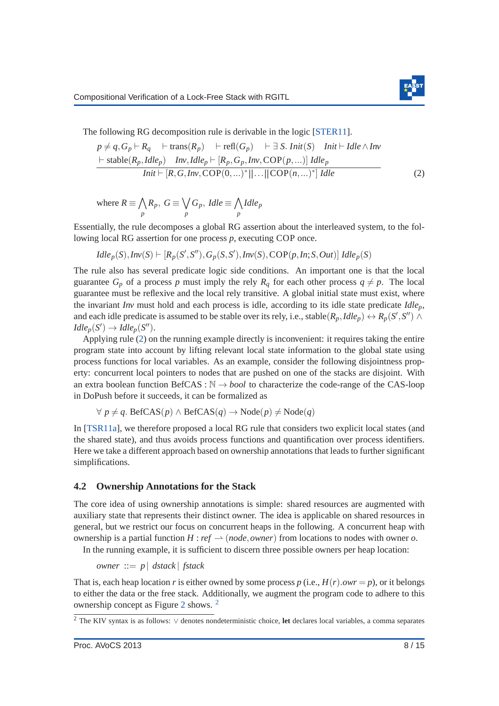<span id="page-8-0"></span>

The following RG decomposition rule is derivable in the logic [\[STER11\]](#page-15-1).

$$
p \neq q, G_p \vdash R_q \quad \vdash \text{trans}(R_p) \quad \vdash \text{refl}(G_p) \quad \vdash \exists \text{ } S. \text{ }Init(\text{ } S) \quad \text{Init} \vdash \text{ } Idle \land \text{Inv}
$$
\n
$$
\frac{\vdash \text{ stable}(R_p, Idle_p) \quad \text{Inv}, Idle_p \vdash [R_p, G_p, Inv, COP(p, ...)]} \text{ } Idle_p}{Init \vdash [R, G, Inv, COP(0, ...)^{*} || ... || COP(n, ...)^{*}] \text{ } Idle}
$$
\n
$$
(2)
$$

where 
$$
R \equiv \bigwedge_p R_p
$$
,  $G \equiv \bigvee_p G_p$ ,  $I dle \equiv \bigwedge_p I dle_p$ 

Essentially, the rule decomposes a global RG assertion about the interleaved system, to the following local RG assertion for one process *p*, executing COP once.

$$
Idle_p(S), Inv(S) \vdash [R_p(S', S''), G_p(S, S'), Inv(S), COP(p, In; S, Out)]
$$
  

$$
Idle_p(S)
$$

The rule also has several predicate logic side conditions. An important one is that the local guarantee  $G_p$  of a process p must imply the rely  $R_q$  for each other process  $q \neq p$ . The local guarantee must be reflexive and the local rely transitive. A global initial state must exist, where the invariant *Inv* must hold and each process is idle, according to its idle state predicate *Idlep*, and each idle predicate is assumed to be stable over its rely, i.e., stable $(R_p, Idle_p) \leftrightarrow R_p(S', S'') \land$  $I$ *dle*<sub>*p*</sub>(*S*<sup>'</sup>) → *Idle*<sub>*p*</sub>(*S*<sup>''</sup>).

Applying rule [\(2\)](#page-8-0) on the running example directly is inconvenient: it requires taking the entire program state into account by lifting relevant local state information to the global state using process functions for local variables. As an example, consider the following disjointness property: concurrent local pointers to nodes that are pushed on one of the stacks are disjoint. With an extra boolean function BefCAS :  $\mathbb{N} \rightarrow \text{bool}$  to characterize the code-range of the CAS-loop in DoPush before it succeeds, it can be formalized as

$$
\forall p \neq q. \text{ $\text{Before}(p) \land \text{ $\text{Before}(q) \rightarrow \text{Node}(p) \neq \text{Node}(q)$$
$$

In [\[TSR11a\]](#page-15-4), we therefore proposed a local RG rule that considers two explicit local states (and the shared state), and thus avoids process functions and quantification over process identifiers. Here we take a different approach based on ownership annotations that leads to further significant simplifications.

#### **4.2 Ownership Annotations for the Stack**

The core idea of using ownership annotations is simple: shared resources are augmented with auxiliary state that represents their distinct owner. The idea is applicable on shared resources in general, but we restrict our focus on concurrent heaps in the following. A concurrent heap with ownership is a partial function  $H : ref \rightarrow (node, owner)$  from locations to nodes with owner *o*. In the running example, it is sufficient to discern three possible owners per heap location:

*owner* ::= *p* | *dstack* | *fstack*

That is, each heap location *r* is either owned by some process  $p$  (i.e.,  $H(r)$ .*owr* =  $p$ ), or it belongs to either the data or the free stack. Additionally, we augment the program code to adhere to this ownership concept as Figure [2](#page-9-0) shows. [2](#page-8-1)

<span id="page-8-1"></span><sup>2</sup> The KIV syntax is as follows: ∨ denotes nondeterministic choice, **let** declares local variables, a comma separates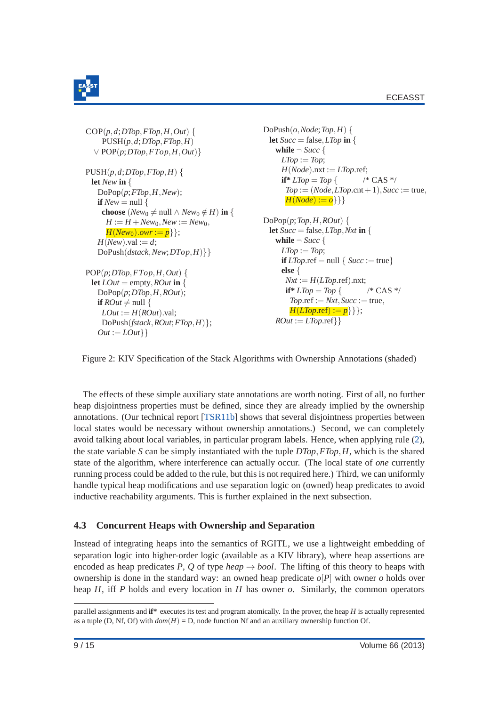

 $Out := LOut$ 

```
COP(p,d;DTop,FTop,H,Out) {
    PUSH(p,d;DTop,FTop,H)
  ∨ POP(p;DTop,FTop,H,Out)}
PUSH(p,d;DTop,FTop,H) {
 let New in {
   DoPop(p;FTop,H,New);
   if New = nullchoose (New<sub>0</sub> \neq null ∧ New<sub>0</sub> \notin H) in {
     H := H + New_0, New := New_0,H(New_0).owr := p};
   H(New).val := d;
   DoPush(dstack,New;DTop,H)}}
POP(p;DTop,FTop,H,Out) {
 let LOut = empty, ROut in {
   DoPop(p;DTop,H,ROut);
   if ROut \neq null {
    LOut := H(ROut).val;
    DoPush(fstack,ROut;FTop,H)};
                                                   DoPush(o,Node;Top,H) {
                                                    let Succ = false, LTop in {
                                                      while \neg Succ {
                                                        LTop := Top;H(Node).nxt := LTop.ref;
                                                        if* LTop = Top { \qquad /* CAS */
                                                         Top := (Node, LTop, \text{cnt} + 1), Succ := \text{true},H(Node) := o \}}
                                                   DoPop(p;Top,H,ROM) {
                                                    let Succ = false, LTop, Nxt in {
                                                      while \neg Succ {
                                                        LTop := Top;if LTop.ref = null \{Succ := true\}else {
                                                         Nxt := H(LTop.ref).nxt;
                                                         if* LTop = Top { \qquad /* CAS */
                                                          Top.ref := Nxt, Succ := true,H(LTop.ref) := p \};
                                                      ROut := LTop.ref\}
```
Figure 2: KIV Specification of the Stack Algorithms with Ownership Annotations (shaded)

The effects of these simple auxiliary state annotations are worth noting. First of all, no further heap disjointness properties must be defined, since they are already implied by the ownership annotations. (Our technical report [\[TSR11b\]](#page-15-9) shows that several disjointness properties between local states would be necessary without ownership annotations.) Second, we can completely avoid talking about local variables, in particular program labels. Hence, when applying rule [\(2\)](#page-8-0), the state variable *S* can be simply instantiated with the tuple *DTop*,*FTop*,*H*, which is the shared state of the algorithm, where interference can actually occur. (The local state of *one* currently running process could be added to the rule, but this is not required here.) Third, we can uniformly handle typical heap modifications and use separation logic on (owned) heap predicates to avoid inductive reachability arguments. This is further explained in the next subsection.

### **4.3 Concurrent Heaps with Ownership and Separation**

Instead of integrating heaps into the semantics of RGITL, we use a lightweight embedding of separation logic into higher-order logic (available as a KIV library), where heap assertions are encoded as heap predicates *P*, *Q* of type *heap*  $\rightarrow$  *bool*. The lifting of this theory to heaps with ownership is done in the standard way: an owned heap predicate *o*[*P*] with owner *o* holds over heap *H*, iff *P* holds and every location in *H* has owner *o*. Similarly, the common operators

parallel assignments and **if\*** executes its test and program atomically. In the prover, the heap *H* is actually represented as a tuple (D, Nf, Of) with  $dom(H) = D$ , node function Nf and an auxiliary ownership function Of.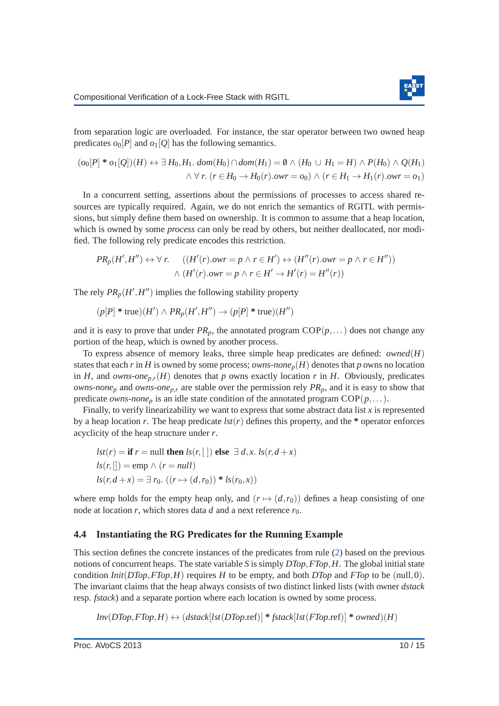from separation logic are overloaded. For instance, the star operator between two owned heap predicates  $o_0[P]$  and  $o_1[O]$  has the following semantics.

$$
(o_0[P] * o_1[Q])(H) \leftrightarrow \exists H_0, H_1. dom(H_0) \cap dom(H_1) = \emptyset \land (H_0 \cup H_1 = H) \land P(H_0) \land Q(H_1)
$$
  

$$
\land \forall r. (r \in H_0 \rightarrow H_0(r).own = o_0) \land (r \in H_1 \rightarrow H_1(r).own = o_1)
$$

In a concurrent setting, assertions about the permissions of processes to access shared resources are typically required. Again, we do not enrich the semantics of RGITL with permissions, but simply define them based on ownership. It is common to assume that a heap location, which is owned by some *process* can only be read by others, but neither deallocated, nor modified. The following rely predicate encodes this restriction.

$$
PR_p(H', H'') \leftrightarrow \forall r. \quad ((H'(r).owr = p \land r \in H') \leftrightarrow (H''(r).owr = p \land r \in H''))
$$

$$
\land (H'(r).owr = p \land r \in H' \rightarrow H'(r) = H''(r))
$$

The rely  $PR_p(H', H'')$  implies the following stability property

$$
(p[P] * \text{true})(H') \land PR_p(H', H'') \to (p[P] * \text{true})(H'')
$$

and it is easy to prove that under  $PR_p$ , the annotated program  $COP(p,...)$  does not change any portion of the heap, which is owned by another process.

To express absence of memory leaks, three simple heap predicates are defined: *owned*(*H*) states that each *r* in *H* is owned by some process; *owns-none*<sub>*p*</sub>(*H*) denotes that *p* owns no location in *H*, and *owns-one*<sub>*p*,*r*</sub>(*H*) denotes that *p* owns exactly location *r* in *H*. Obviously, predicates *owns*-*none<sup>p</sup>* and *owns*-*onep*,*<sup>r</sup>* are stable over the permission rely *PRp*, and it is easy to show that predicate *owns-none*<sup>*p*</sup> is an idle state condition of the annotated program  $COP(p,...)$ .

Finally, to verify linearizability we want to express that some abstract data list *x* is represented by a heap location *r*. The heap predicate  $lst(r)$  defines this property, and the  $*$  operator enforces acyclicity of the heap structure under *r*.

$$
lst(r) = \textbf{if } r = \text{null then } ls(r, [])
$$
 else  $\exists d, x. ls(r, d + x)$   

$$
ls(r, []) = \text{emp } \land (r = null)
$$
  

$$
ls(r, d + x) = \exists r_0. ((r \mapsto (d, r_0)) * ls(r_0, x))
$$

where emp holds for the empty heap only, and  $(r \mapsto (d, r_0))$  defines a heap consisting of one node at location *r*, which stores data *d* and a next reference  $r_0$ .

#### **4.4 Instantiating the RG Predicates for the Running Example**

This section defines the concrete instances of the predicates from rule [\(2\)](#page-8-0) based on the previous notions of concurrent heaps. The state variable *S* is simply *DTop*,*FTop*,*H*. The global initial state condition *Init*( $DTop, FTop, H$ ) requires *H* to be empty, and both  $DTop$  and  $FTop$  to be (null,0). The invariant claims that the heap always consists of two distinct linked lists (with owner *dstack* resp. *fstack*) and a separate portion where each location is owned by some process.

 $Inv(DTop, FTop, H) \leftrightarrow (dstack[lst(ODTop, ref)] * fstack[lst(FTop, ref)] * owned)(H)$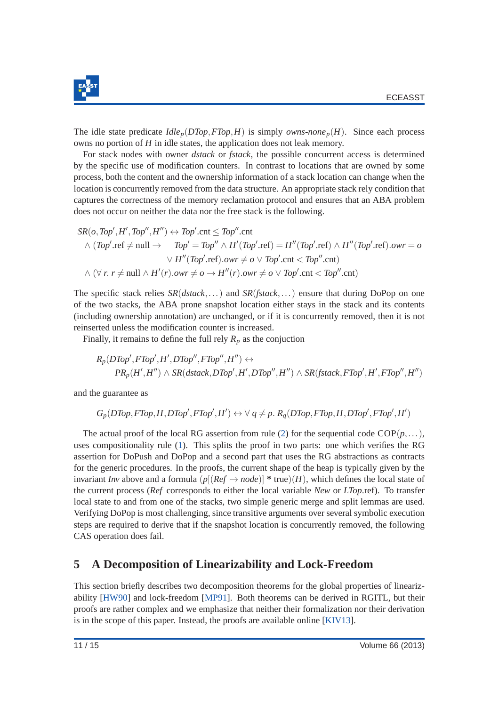

The idle state predicate  $Idle_p(DTop, FTop, H)$  is simply *owns-none*<sub>p</sub> $(H)$ . Since each process owns no portion of *H* in idle states, the application does not leak memory.

For stack nodes with owner *dstack* or *fstack*, the possible concurrent access is determined by the specific use of modification counters. In contrast to locations that are owned by some process, both the content and the ownership information of a stack location can change when the location is concurrently removed from the data structure. An appropriate stack rely condition that captures the correctness of the memory reclamation protocol and ensures that an ABA problem does not occur on neither the data nor the free stack is the following.

$$
SR(o, Top', H', Top'', H'') \leftrightarrow Top'.cnt \le Top''.cnt
$$
  
\n
$$
\land (Top'.ref \neq null \rightarrow Top' = Top'' \land H'(Top'.ref) = H''(Top'.ref) \land H''(Top'.ref).owr = o
$$
  
\n
$$
\lor H''(Top'.ref).owr \neq o \lor Top'.cnt < Top''.cnt)
$$
  
\n
$$
\land (\forall r. r \neq null \land H'(r).owr \neq o \rightarrow H''(r).owr \neq o \lor Top'.cnt < Top''.cnt)
$$

The specific stack relies *SR*(*dstack*,...) and *SR*(*fstack*,...) ensure that during DoPop on one of the two stacks, the ABA prone snapshot location either stays in the stack and its contents (including ownership annotation) are unchanged, or if it is concurrently removed, then it is not reinserted unless the modification counter is increased.

Finally, it remains to define the full rely  $R_p$  as the conjuction

$$
R_p(DTop', FTop', H', DTop'', FTop'', H'') \leftrightarrow
$$
  

$$
PR_p(H', H'') \wedge SR(dsack, DTop', H', DTop'', H'') \wedge SR(fstack, FTop', H', FTop'', H'')
$$

and the guarantee as

$$
G_p(DTop, FTop, H, DTop', FTop', H') \leftrightarrow \forall q \neq p. R_q(DTop, FTop, H, DTop', FTop', H')
$$

The actual proof of the local RG assertion from rule [\(2\)](#page-8-0) for the sequential code  $COP(p,...)$ , uses compositionality rule [\(1\)](#page-6-0). This splits the proof in two parts: one which verifies the RG assertion for DoPush and DoPop and a second part that uses the RG abstractions as contracts for the generic procedures. In the proofs, the current shape of the heap is typically given by the invariant *Inv* above and a formula  $(p[(Ref \rightarrow node)]$  \* true) $(H)$ , which defines the local state of the current process (*Ref* corresponds to either the local variable *New* or *LTop*.ref). To transfer local state to and from one of the stacks, two simple generic merge and split lemmas are used. Verifying DoPop is most challenging, since transitive arguments over several symbolic execution steps are required to derive that if the snapshot location is concurrently removed, the following CAS operation does fail.

# <span id="page-11-0"></span>**5 A Decomposition of Linearizability and Lock-Freedom**

This section briefly describes two decomposition theorems for the global properties of linearizability [\[HW90\]](#page-14-0) and lock-freedom [\[MP91\]](#page-15-0). Both theorems can be derived in RGITL, but their proofs are rather complex and we emphasize that neither their formalization nor their derivation is in the scope of this paper. Instead, the proofs are available online [\[KIV13\]](#page-15-2).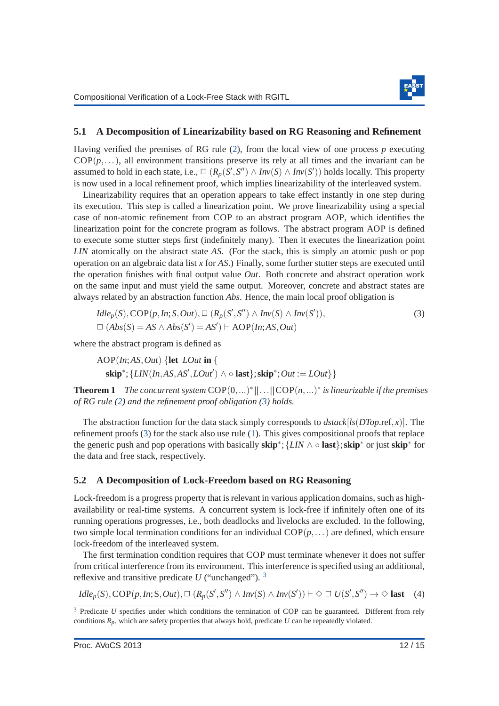<span id="page-12-0"></span>

#### **5.1 A Decomposition of Linearizability based on RG Reasoning and Refinement**

Having verified the premises of RG rule [\(2\)](#page-8-0), from the local view of one process *p* executing  $COP(p,...)$ , all environment transitions preserve its rely at all times and the invariant can be assumed to hold in each state, i.e.,  $\Box$   $(R_p(S', S'') \land Inv(S) \land Inv(S'))$  holds locally. This property is now used in a local refinement proof, which implies linearizability of the interleaved system.

Linearizability requires that an operation appears to take effect instantly in one step during its execution. This step is called a linearization point. We prove linearizability using a special case of non-atomic refinement from COP to an abstract program AOP, which identifies the linearization point for the concrete program as follows. The abstract program AOP is defined to execute some stutter steps first (indefinitely many). Then it executes the linearization point *LIN* atomically on the abstract state *AS*. (For the stack, this is simply an atomic push or pop operation on an algebraic data list *x* for *AS*.) Finally, some further stutter steps are executed until the operation finishes with final output value *Out*. Both concrete and abstract operation work on the same input and must yield the same output. Moreover, concrete and abstract states are always related by an abstraction function *Abs*. Hence, the main local proof obligation is

$$
Idle_p(S), COP(p, In; S, Out), \square (R_p(S', S'') \wedge Inv(S) \wedge Inv(S')),
$$
  

$$
\square (Abs(S) = AS \wedge Abs(S') = AS') \vdash AOP(In; AS, Out)
$$
 (3)

where the abstract program is defined as

AOP(*In*;*AS*,*Out*) {**let** *LOut* **in** { **skip**<sup>∗</sup>; {*LIN*(*In*,*AS*,*AS'*, *LOut'*) ∧ ◦ **last**};**skip**<sup>∗</sup>; *Out* := *LOut*}}

**Theorem 1** The concurrent system  $\text{COP}(0, ...)$ <sup>\*</sup>  $||...||\text{COP}(n, ...)$ <sup>\*</sup> is linearizable if the premises *of RG rule [\(2\)](#page-8-0) and the refinement proof obligation [\(3\)](#page-12-0) holds.*

The abstraction function for the data stack simply corresponds to *dstack*[*ls*(*DTop*.ref, *x*)]. The refinement proofs [\(3\)](#page-12-0) for the stack also use rule [\(1\)](#page-6-0). This gives compositional proofs that replace the generic push and pop operations with basically **skip**<sup>∗</sup> ;{*LIN* ∧ ◦ **last**};**skip**<sup>∗</sup> or just **skip**<sup>∗</sup> for the data and free stack, respectively.

#### **5.2 A Decomposition of Lock-Freedom based on RG Reasoning**

Lock-freedom is a progress property that is relevant in various application domains, such as highavailability or real-time systems. A concurrent system is lock-free if infinitely often one of its running operations progresses, i.e., both deadlocks and livelocks are excluded. In the following, two simple local termination conditions for an individual  $COP(p,...)$  are defined, which ensure lock-freedom of the interleaved system.

The first termination condition requires that COP must terminate whenever it does not suffer from critical interference from its environment. This interference is specified using an additional, reflexive and transitive predicate *U* ("unchanged"). [3](#page-12-1)

<span id="page-12-2"></span>
$$
Idle_p(S),\text{COP}(p, In; S, Out), \square (R_p(S', S'') \wedge Inv(S) \wedge Inv(S')) \vdash \diamond \square U(S', S'') \rightarrow \diamond \text{last} \quad (4)
$$

<span id="page-12-1"></span><sup>&</sup>lt;sup>3</sup> Predicate *U* specifies under which conditions the termination of COP can be guaranteed. Different from rely conditions  $R_p$ , which are safety properties that always hold, predicate  $U$  can be repeatedly violated.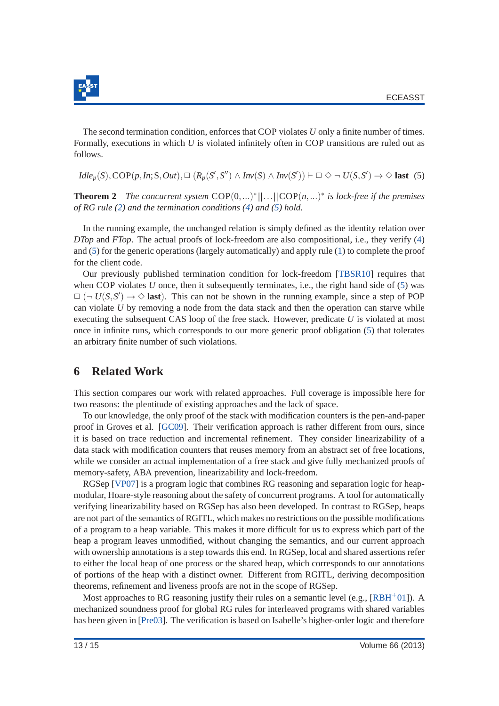

The second termination condition, enforces that COP violates *U* only a finite number of times. Formally, executions in which *U* is violated infinitely often in COP transitions are ruled out as follows.

<span id="page-13-1"></span> $Idl e_p(S), \text{COP}(p, In; S, Out), \Box (R_p(S', S'') \land Inv(S) \land Inv(S')) \vdash \Box \Diamond \neg U(S, S') \rightarrow \Diamond \text{ last } (5)$ 

**Theorem 2** The concurrent system  $\text{COP}(0, ...)$ <sup>\*</sup> $||...||\text{COP}(n, ...)$ <sup>\*</sup> is lock-free if the premises *of RG rule [\(2\)](#page-8-0) and the termination conditions [\(4\)](#page-12-2) and [\(5\)](#page-13-1) hold.*

In the running example, the unchanged relation is simply defined as the identity relation over *DTop* and *FTop*. The actual proofs of lock-freedom are also compositional, i.e., they verify [\(4\)](#page-12-2) and [\(5\)](#page-13-1) for the generic operations (largely automatically) and apply rule [\(1\)](#page-6-0) to complete the proof for the client code.

Our previously published termination condition for lock-freedom [\[TBSR10\]](#page-15-3) requires that when COP violates *U* once, then it subsequently terminates, i.e., the right hand side of [\(5\)](#page-13-1) was  $\square$  ( $\neg$  *U*(*S*,*S'*)  $\rightarrow \diamond$  **last**). This can not be shown in the running example, since a step of POP can violate *U* by removing a node from the data stack and then the operation can starve while executing the subsequent CAS loop of the free stack. However, predicate *U* is violated at most once in infinite runs, which corresponds to our more generic proof obligation [\(5\)](#page-13-1) that tolerates an arbitrary finite number of such violations.

# <span id="page-13-0"></span>**6 Related Work**

This section compares our work with related approaches. Full coverage is impossible here for two reasons: the plentitude of existing approaches and the lack of space.

To our knowledge, the only proof of the stack with modification counters is the pen-and-paper proof in Groves et al. [\[GC09\]](#page-14-5). Their verification approach is rather different from ours, since it is based on trace reduction and incremental refinement. They consider linearizability of a data stack with modification counters that reuses memory from an abstract set of free locations, while we consider an actual implementation of a free stack and give fully mechanized proofs of memory-safety, ABA prevention, linearizability and lock-freedom.

RGSep [\[VP07\]](#page-15-10) is a program logic that combines RG reasoning and separation logic for heapmodular, Hoare-style reasoning about the safety of concurrent programs. A tool for automatically verifying linearizability based on RGSep has also been developed. In contrast to RGSep, heaps are not part of the semantics of RGITL, which makes no restrictions on the possible modifications of a program to a heap variable. This makes it more difficult for us to express which part of the heap a program leaves unmodified, without changing the semantics, and our current approach with ownership annotations is a step towards this end. In RGSep, local and shared assertions refer to either the local heap of one process or the shared heap, which corresponds to our annotations of portions of the heap with a distinct owner. Different from RGITL, deriving decomposition theorems, refinement and liveness proofs are not in the scope of RGSep.

Most approaches to RG reasoning justify their rules on a semantic level (e.g.,  $[RBH^+01]$  $[RBH^+01]$ ). A mechanized soundness proof for global RG rules for interleaved programs with shared variables has been given in [\[Pre03\]](#page-15-11). The verification is based on Isabelle's higher-order logic and therefore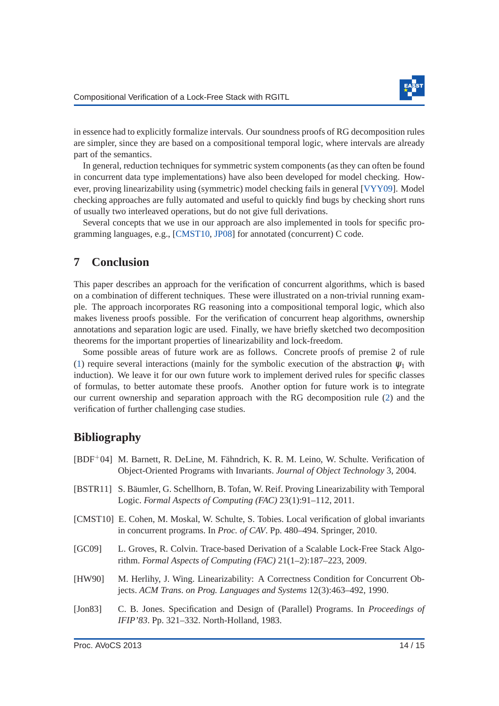

in essence had to explicitly formalize intervals. Our soundness proofs of RG decomposition rules are simpler, since they are based on a compositional temporal logic, where intervals are already part of the semantics.

In general, reduction techniques for symmetric system components (as they can often be found in concurrent data type implementations) have also been developed for model checking. However, proving linearizability using (symmetric) model checking fails in general [\[VYY09\]](#page-15-12). Model checking approaches are fully automated and useful to quickly find bugs by checking short runs of usually two interleaved operations, but do not give full derivations.

Several concepts that we use in our approach are also implemented in tools for specific programming languages, e.g., [\[CMST10,](#page-14-6) [JP08\]](#page-15-13) for annotated (concurrent) C code.

### <span id="page-14-4"></span>**7 Conclusion**

This paper describes an approach for the verification of concurrent algorithms, which is based on a combination of different techniques. These were illustrated on a non-trivial running example. The approach incorporates RG reasoning into a compositional temporal logic, which also makes liveness proofs possible. For the verification of concurrent heap algorithms, ownership annotations and separation logic are used. Finally, we have briefly sketched two decomposition theorems for the important properties of linearizability and lock-freedom.

Some possible areas of future work are as follows. Concrete proofs of premise 2 of rule [\(1\)](#page-6-0) require several interactions (mainly for the symbolic execution of the abstraction  $\psi_1$  with induction). We leave it for our own future work to implement derived rules for specific classes of formulas, to better automate these proofs. Another option for future work is to integrate our current ownership and separation approach with the RG decomposition rule [\(2\)](#page-8-0) and the verification of further challenging case studies.

# **Bibliography**

<span id="page-14-6"></span><span id="page-14-5"></span><span id="page-14-3"></span><span id="page-14-2"></span><span id="page-14-1"></span><span id="page-14-0"></span>

|         | [BDF <sup>+</sup> 04] M. Barnett, R. DeLine, M. Fähndrich, K. R. M. Leino, W. Schulte. Verification of<br>Object-Oriented Programs with Invariants. Journal of Object Technology 3, 2004. |
|---------|-------------------------------------------------------------------------------------------------------------------------------------------------------------------------------------------|
|         | [BSTR11] S. Bäumler, G. Schellhorn, B. Tofan, W. Reif. Proving Linearizability with Temporal<br>Logic. Formal Aspects of Computing (FAC) 23(1):91-112, 2011.                              |
|         | [CMST10] E. Cohen, M. Moskal, W. Schulte, S. Tobies. Local verification of global invariants<br>in concurrent programs. In <i>Proc. of CAV</i> . Pp. 480–494. Springer, 2010.             |
| [GC09]  | L. Groves, R. Colvin. Trace-based Derivation of a Scalable Lock-Free Stack Algo-<br>rithm. Formal Aspects of Computing (FAC) $21(1-2)$ :187-223, 2009.                                    |
| [HW90]  | M. Herlihy, J. Wing. Linearizability: A Correctness Condition for Concurrent Ob-<br>jects. ACM Trans. on Prog. Languages and Systems 12(3):463-492, 1990.                                 |
| [Jon83] | C. B. Jones. Specification and Design of (Parallel) Programs. In <i>Proceedings of</i><br>IFIP'83. Pp. 321-332. North-Holland, 1983.                                                      |